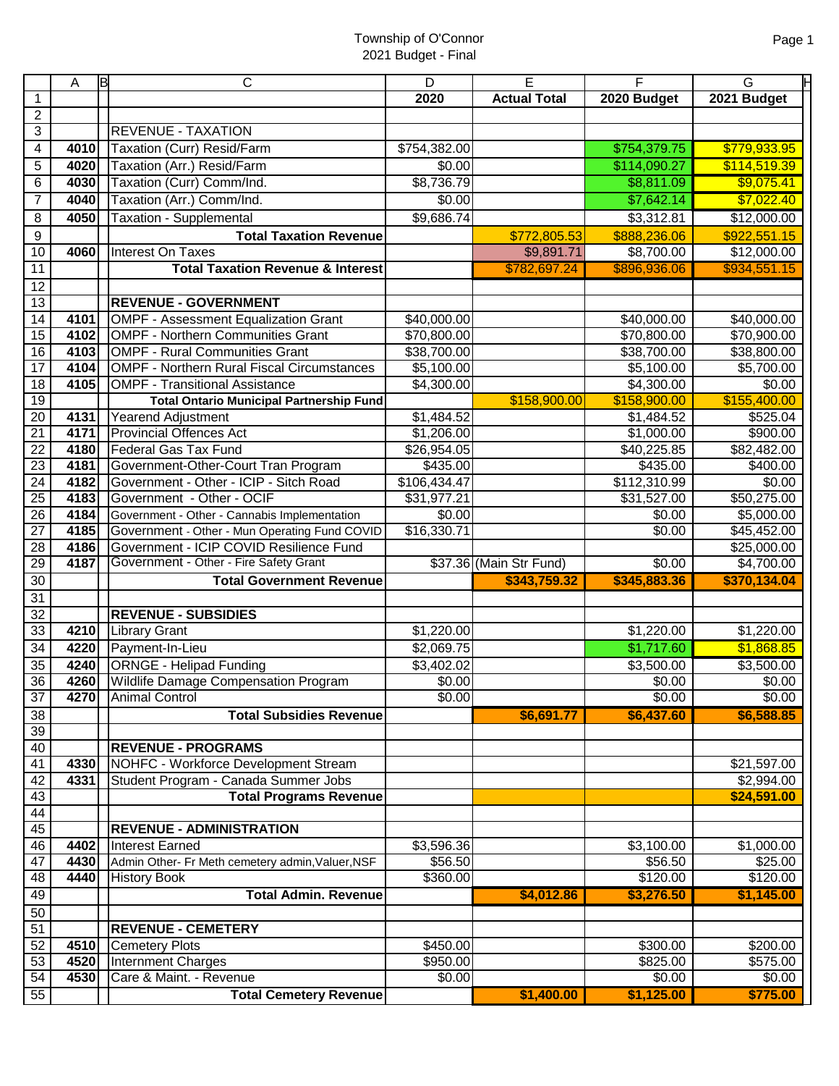|                 | A    | ΙB<br>$\mathsf{C}$                                        | D            | E                       | F                     | Н<br>G                |
|-----------------|------|-----------------------------------------------------------|--------------|-------------------------|-----------------------|-----------------------|
| 1               |      |                                                           | 2020         | <b>Actual Total</b>     | 2020 Budget           | 2021 Budget           |
| 2               |      |                                                           |              |                         |                       |                       |
| 3               |      | <b>REVENUE - TAXATION</b>                                 |              |                         |                       |                       |
| 4               | 4010 | Taxation (Curr) Resid/Farm                                | \$754,382.00 |                         | \$754,379.75          | \$779,933.95          |
| 5               | 4020 | Taxation (Arr.) Resid/Farm                                | \$0.00       |                         | \$114,090.27          | \$114,519.39          |
| 6               | 4030 | Taxation (Curr) Comm/Ind.                                 | \$8,736.79   |                         | \$8,811.09            | \$9,075.41            |
| 7               | 4040 | Taxation (Arr.) Comm/Ind.                                 | \$0.00       |                         | \$7,642.14            | \$7,022.40            |
| 8               | 4050 | <b>Taxation - Supplemental</b>                            | \$9,686.74   |                         | \$3,312.81            | \$12,000.00           |
| 9               |      | <b>Total Taxation Revenue</b>                             |              | \$772,805.53            | \$888,236.06          | \$922,551.15          |
| 10              | 4060 | Interest On Taxes                                         |              | \$9,891.71              | \$8,700.00            | \$12,000.00           |
| 11              |      | <b>Total Taxation Revenue &amp; Interest</b>              |              | \$782,697.24            | \$896,936.06          | \$934,551.15          |
| $\overline{12}$ |      |                                                           |              |                         |                       |                       |
| 13              |      | <b>REVENUE - GOVERNMENT</b>                               |              |                         |                       |                       |
| 14              | 4101 | <b>OMPF - Assessment Equalization Grant</b>               | \$40,000.00  |                         | \$40,000.00           | \$40,000.00           |
| 15              | 4102 | <b>OMPF - Northern Communities Grant</b>                  | \$70,800.00  |                         | \$70,800.00           | \$70,900.00           |
| 16              | 4103 | <b>OMPF - Rural Communities Grant</b>                     | \$38,700.00  |                         | \$38,700.00           | \$38,800.00           |
| 17              | 4104 | <b>OMPF - Northern Rural Fiscal Circumstances</b>         | \$5,100.00   |                         | \$5,100.00            | \$5,700.00            |
| 18              | 4105 | <b>OMPF - Transitional Assistance</b>                     | \$4,300.00   |                         | \$4,300.00            | \$0.00                |
| 19              |      | <b>Total Ontario Municipal Partnership Fund</b>           |              | \$158,900.00            | \$158,900.00          | \$155,400.00          |
| 20              | 4131 | <b>Yearend Adjustment</b>                                 | \$1,484.52   |                         | \$1,484.52            | \$525.04              |
| $\overline{21}$ | 4171 | <b>Provincial Offences Act</b>                            | \$1,206.00   |                         | \$1,000.00            | \$900.00              |
| $\overline{22}$ | 4180 | <b>Federal Gas Tax Fund</b>                               | \$26,954.05  |                         | \$40,225.85           | \$82,482.00           |
| $\overline{23}$ | 4181 | Government-Other-Court Tran Program                       | \$435.00     |                         | \$435.00              | \$400.00              |
| $\overline{24}$ | 4182 | Government - Other - ICIP - Sitch Road                    | \$106,434.47 |                         | \$112,310.99          | \$0.00                |
| $\overline{25}$ | 4183 | Government - Other - OCIF                                 | \$31,977.21  |                         | \$31,527.00           | \$50,275.00           |
| $\overline{26}$ | 4184 | Government - Other - Cannabis Implementation              | \$0.00       |                         | \$0.00                | \$5,000.00            |
| $\overline{27}$ | 4185 | Government - Other - Mun Operating Fund COVID             | \$16,330.71  |                         | $\overline{$}0.00$    | \$45,452.00           |
| $\overline{28}$ | 4186 | Government - ICIP COVID Resilience Fund                   |              |                         |                       | \$25,000.00           |
| 29              | 4187 | Government - Other - Fire Safety Grant                    |              | \$37.36 (Main Str Fund) | $\sqrt{$0.00}$        | \$4,700.00            |
| $\overline{30}$ |      | <b>Total Government Revenue</b>                           |              | \$343,759.32            | \$345,883.36          | \$370,134.04          |
| 31              |      |                                                           |              |                         |                       |                       |
| $\overline{32}$ |      | <b>REVENUE - SUBSIDIES</b>                                |              |                         |                       |                       |
| 33              | 4210 | <b>Library Grant</b>                                      | \$1,220.00   |                         | \$1,220.00            | \$1,220.00            |
| 34              | 4220 | Payment-In-Lieu                                           | \$2,069.75   |                         | \$1,717.60            | \$1,868.85            |
| 35              | 4240 | <b>ORNGE - Helipad Funding</b>                            | \$3,402.02   |                         | \$3,500.00            | \$3,500.00            |
| 36              |      | 4260 Wildlife Damage Compensation Program                 | \$0.00       |                         | \$0.00                | \$0.00                |
| 37              | 4270 | <b>Animal Control</b>                                     | \$0.00       |                         | \$0.00                | \$0.00                |
| 38              |      | <b>Total Subsidies Revenue</b>                            |              | \$6,691.77              | \$6,437.60            | \$6,588.85            |
| 39              |      |                                                           |              |                         |                       |                       |
| 40              |      | <b>REVENUE - PROGRAMS</b>                                 |              |                         |                       |                       |
| 41              | 4330 | NOHFC - Workforce Development Stream                      |              |                         |                       | \$21,597.00           |
| 42              | 4331 | Student Program - Canada Summer Jobs                      |              |                         |                       | \$2,994.00            |
| 43              |      | <b>Total Programs Revenue</b>                             |              |                         |                       | \$24,591.00           |
| 44              |      |                                                           |              |                         |                       |                       |
| 45<br>46        | 4402 | <b>REVENUE - ADMINISTRATION</b><br><b>Interest Earned</b> | \$3,596.36   |                         |                       |                       |
| 47              | 4430 | Admin Other- Fr Meth cemetery admin, Valuer, NSF          | \$56.50      |                         | \$3,100.00<br>\$56.50 | \$1,000.00<br>\$25.00 |
| 48              | 4440 | <b>History Book</b>                                       | \$360.00     |                         | \$120.00              | \$120.00              |
| 49              |      | <b>Total Admin. Revenue</b>                               |              | \$4,012.86              | \$3,276.50            | \$1,145.00            |
| 50              |      |                                                           |              |                         |                       |                       |
| 51              |      | <b>REVENUE - CEMETERY</b>                                 |              |                         |                       |                       |
| 52              | 4510 | <b>Cemetery Plots</b>                                     | \$450.00     |                         | \$300.00              | \$200.00              |
| 53              | 4520 | Internment Charges                                        | \$950.00     |                         | \$825.00              | \$575.00              |
| 54              | 4530 | Care & Maint. - Revenue                                   | \$0.00       |                         | \$0.00                | $\sqrt{60.00}$        |
| 55              |      | <b>Total Cemetery Revenue</b>                             |              | \$1,400.00              | \$1,125.00            | \$775.00              |
|                 |      |                                                           |              |                         |                       |                       |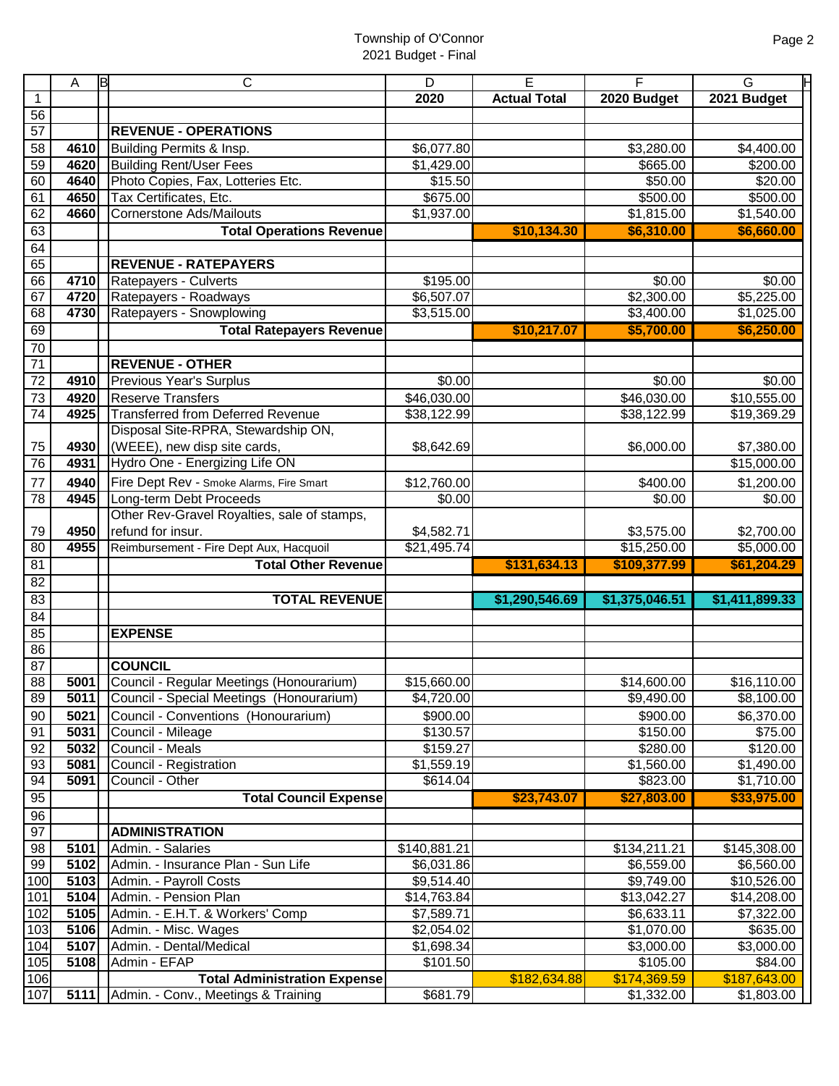|                 | A    | ΙB<br>С                                              | D            | Е                   | F              | G              |
|-----------------|------|------------------------------------------------------|--------------|---------------------|----------------|----------------|
|                 |      |                                                      | 2020         | <b>Actual Total</b> | 2020 Budget    | 2021 Budget    |
| 56              |      |                                                      |              |                     |                |                |
| 57              |      | <b>REVENUE - OPERATIONS</b>                          |              |                     |                |                |
| 58              | 4610 | Building Permits & Insp.                             | \$6,077.80   |                     | \$3,280.00     | \$4,400.00     |
| 59              | 4620 | <b>Building Rent/User Fees</b>                       | \$1,429.00   |                     | \$665.00       | \$200.00       |
| 60              | 4640 | Photo Copies, Fax, Lotteries Etc.                    | \$15.50      |                     | \$50.00        | \$20.00        |
| 61              | 4650 | Tax Certificates, Etc.                               | \$675.00     |                     | \$500.00       | \$500.00       |
| 62              | 4660 | <b>Cornerstone Ads/Mailouts</b>                      | \$1,937.00   |                     | \$1,815.00     | \$1,540.00     |
| 63              |      | <b>Total Operations Revenue</b>                      |              | \$10,134.30         | \$6,310.00     | \$6,660.00     |
| 64              |      |                                                      |              |                     |                |                |
| 65              |      | <b>REVENUE - RATEPAYERS</b>                          |              |                     |                |                |
| 66              | 4710 | Ratepayers - Culverts                                | \$195.00     |                     | \$0.00         | \$0.00         |
| 67              | 4720 | Ratepayers - Roadways                                | \$6,507.07   |                     | \$2,300.00     | \$5,225.00     |
| 68              | 4730 | Ratepayers - Snowplowing                             | \$3,515.00   |                     | \$3,400.00     | \$1,025.00     |
| 69              |      | <b>Total Ratepayers Revenue</b>                      |              | \$10,217.07         | \$5,700.00     | \$6,250.00     |
| 70              |      |                                                      |              |                     |                |                |
| 71              |      | <b>REVENUE - OTHER</b>                               |              |                     |                |                |
| 72              | 4910 | Previous Year's Surplus                              | \$0.00       |                     | \$0.00         | \$0.00         |
| 73              | 4920 | <b>Reserve Transfers</b>                             | \$46,030.00  |                     | \$46,030.00    | \$10,555.00    |
| $\overline{74}$ | 4925 | <b>Transferred from Deferred Revenue</b>             | \$38,122.99  |                     | \$38,122.99    | \$19,369.29    |
|                 |      | Disposal Site-RPRA, Stewardship ON,                  |              |                     |                |                |
| 75              | 4930 | (WEEE), new disp site cards,                         | \$8,642.69   |                     | \$6,000.00     | \$7,380.00     |
| 76              | 4931 | Hydro One - Energizing Life ON                       |              |                     |                | \$15,000.00    |
| 77              | 4940 | Fire Dept Rev - Smoke Alarms, Fire Smart             | \$12,760.00  |                     | \$400.00       | \$1,200.00     |
| 78              | 4945 | Long-term Debt Proceeds                              | \$0.00       |                     | \$0.00         | \$0.00         |
|                 |      | Other Rev-Gravel Royalties, sale of stamps,          |              |                     |                |                |
| 79              | 4950 | refund for insur.                                    | \$4,582.71   |                     | \$3,575.00     | \$2,700.00     |
| 80              | 4955 | Reimbursement - Fire Dept Aux, Hacquoil              | \$21,495.74  |                     | \$15,250.00    | \$5,000.00     |
| 81              |      | <b>Total Other Revenue</b>                           |              | \$131,634.13        | \$109,377.99   | \$61,204.29    |
| $\overline{82}$ |      |                                                      |              |                     |                |                |
| 83              |      | <b>TOTAL REVENUE</b>                                 |              | \$1,290,546.69      | \$1,375,046.51 | \$1,411,899.33 |
| 84              |      |                                                      |              |                     |                |                |
| 85              |      | <b>EXPENSE</b>                                       |              |                     |                |                |
| 86              |      |                                                      |              |                     |                |                |
| $\overline{87}$ |      | <b>COUNCIL</b>                                       |              |                     |                |                |
| 88              |      | <b>5001</b> Council - Regular Meetings (Honourarium) | \$15,660.00  |                     | \$14,600.00    | \$16,110.00    |
| 89              | 5011 | Council - Special Meetings (Honourarium)             | \$4,720.00   |                     | \$9,490.00     | \$8,100.00     |
| 90              | 5021 | Council - Conventions (Honourarium)                  | \$900.00     |                     | \$900.00       | \$6,370.00     |
| 91              | 5031 | Council - Mileage                                    | \$130.57     |                     | \$150.00       | \$75.00        |
| 92              | 5032 | Council - Meals                                      | \$159.27     |                     | \$280.00       | \$120.00       |
| 93              | 5081 | Council - Registration                               | \$1,559.19   |                     | \$1,560.00     | \$1,490.00     |
| 94              | 5091 | Council - Other                                      | \$614.04     |                     | \$823.00       | \$1,710.00     |
| 95              |      | <b>Total Council Expense</b>                         |              | \$23,743.07         | \$27,803.00    | \$33,975.00    |
| 96              |      |                                                      |              |                     |                |                |
| 97              |      | <b>ADMINISTRATION</b>                                |              |                     |                |                |
| 98              | 5101 | Admin. - Salaries                                    | \$140,881.21 |                     | \$134,211.21   | \$145,308.00   |
| 99              | 5102 | Admin. - Insurance Plan - Sun Life                   | \$6,031.86   |                     | \$6,559.00     | \$6,560.00     |
| 100             | 5103 | Admin. - Payroll Costs                               | \$9,514.40   |                     | \$9,749.00     | \$10,526.00    |
| 101             | 5104 | Admin. - Pension Plan                                | \$14,763.84  |                     | \$13,042.27    | \$14,208.00    |
| 102             | 5105 | Admin. - E.H.T. & Workers' Comp                      | \$7,589.71   |                     | \$6,633.11     | \$7,322.00     |
| 103             | 5106 | Admin. - Misc. Wages                                 | \$2,054.02   |                     | \$1,070.00     | \$635.00       |
| 104             | 5107 | Admin. - Dental/Medical                              | \$1,698.34   |                     | \$3,000.00     | \$3,000.00     |
| 105             | 5108 | Admin - EFAP                                         | \$101.50     |                     | \$105.00       | \$84.00        |
| 106             |      | <b>Total Administration Expense</b>                  |              | \$182,634.88        | \$174,369.59   | \$187,643.00   |
| 107             | 5111 | Admin. - Conv., Meetings & Training                  | \$681.79     |                     | \$1,332.00     | \$1,803.00     |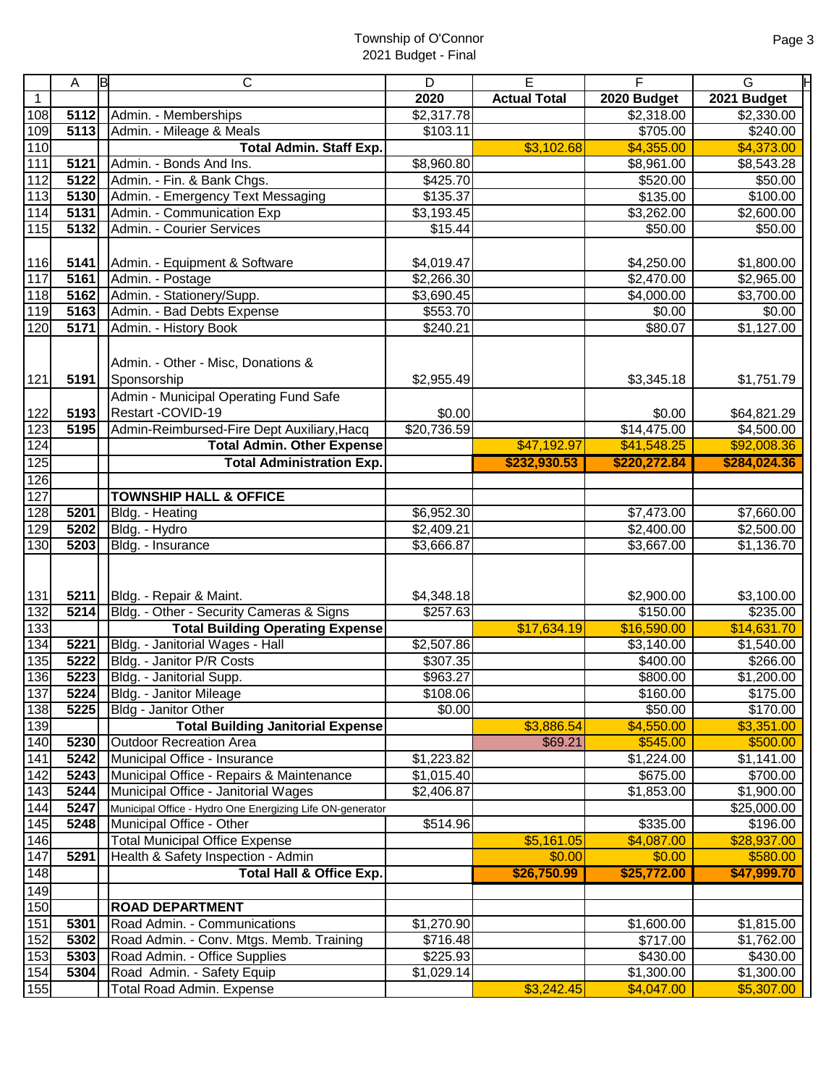|              | lв<br>Α            | C                                                                                                               | D                    | $\overline{E}$      | F                      | ℍ<br>G                         |
|--------------|--------------------|-----------------------------------------------------------------------------------------------------------------|----------------------|---------------------|------------------------|--------------------------------|
| $\mathbf{1}$ |                    |                                                                                                                 | 2020                 | <b>Actual Total</b> | 2020 Budget            | 2021 Budget                    |
| 108          | 5112               | Admin. - Memberships                                                                                            | \$2,317.78           |                     | \$2,318.00             | \$2,330.00                     |
| 109          | 5113               | Admin. - Mileage & Meals                                                                                        | \$103.11             |                     | \$705.00               | \$240.00                       |
| 110          |                    | <b>Total Admin. Staff Exp.</b>                                                                                  |                      | \$3,102.68          | \$4,355.00             | \$4,373.00                     |
| 111          | 5121               | Admin. - Bonds And Ins.                                                                                         | \$8,960.80           |                     | \$8,961.00             | \$8,543.28                     |
| 112          | 5122               | Admin. - Fin. & Bank Chgs.                                                                                      | \$425.70             |                     | \$520.00               | \$50.00                        |
| 113          | 5130               | Admin. - Emergency Text Messaging                                                                               | \$135.37             |                     | \$135.00               | \$100.00                       |
| 114          | 5131               | Admin. - Communication Exp                                                                                      | \$3,193.45           |                     | \$3,262.00             | $\overline{$2,600.00}$         |
| 115          | 5132               | Admin. - Courier Services                                                                                       | \$15.44              |                     | \$50.00                | \$50.00                        |
|              |                    |                                                                                                                 |                      |                     |                        |                                |
| 116          | 5141               | Admin. - Equipment & Software                                                                                   | \$4,019.47           |                     | \$4,250.00             | \$1,800.00                     |
| 117          | 5161               | Admin. - Postage                                                                                                | \$2,266.30           |                     | \$2,470.00             | \$2,965.00                     |
| 118          | 5162               | Admin. - Stationery/Supp.                                                                                       | \$3,690.45           |                     | \$4,000.00             | \$3,700.00                     |
| 119          | 5163               | Admin. - Bad Debts Expense                                                                                      | \$553.70             |                     | $\sqrt{$0.00}$         | \$0.00                         |
| 120          | 5171               | Admin. - History Book                                                                                           | \$240.21             |                     | \$80.07                | \$1,127.00                     |
| 121<br>122   | 5191<br>5193       | Admin. - Other - Misc, Donations &<br>Sponsorship<br>Admin - Municipal Operating Fund Safe<br>Restart -COVID-19 | \$2,955.49<br>\$0.00 |                     | \$3,345.18<br>\$0.00   | \$1,751.79<br>\$64,821.29      |
| 123          | 3195               | Admin-Reimbursed-Fire Dept Auxiliary, Hacq                                                                      | \$20,736.59          |                     | \$14,475.00            | \$4,500.00                     |
| 124          |                    | <b>Total Admin. Other Expense</b>                                                                               |                      | \$47,192.97         | \$41,548.25            | \$92,008.36                    |
| 125          |                    | <b>Total Administration Exp.</b>                                                                                |                      | \$232,930.53        | \$220,272.84           | \$284,024.36                   |
| 126          |                    |                                                                                                                 |                      |                     |                        |                                |
| 127          |                    | <b>TOWNSHIP HALL &amp; OFFICE</b>                                                                               |                      |                     |                        |                                |
| 128          | 5201               | Bldg. - Heating                                                                                                 | \$6,952.30           |                     | \$7,473.00             | \$7,660.00                     |
| 129          | 5202               | Bldg. - Hydro                                                                                                   | \$2,409.21           |                     | \$2,400.00             | \$2,500.00                     |
| 130          | 5203               | Bldg. - Insurance                                                                                               | \$3,666.87           |                     | $\overline{$3,667.00}$ | \$1,136.70                     |
|              |                    |                                                                                                                 |                      |                     |                        |                                |
| 131          | 5211               | Bldg. - Repair & Maint.                                                                                         | \$4,348.18           |                     | \$2,900.00             | \$3,100.00                     |
| 132          | 5214               | Bldg. - Other - Security Cameras & Signs                                                                        | \$257.63             |                     | \$150.00               | \$235.00                       |
| 133          |                    | <b>Total Building Operating Expense</b>                                                                         |                      | \$17,634.19         | \$16,590.00            | \$14,631.70                    |
| 134          | 5221               | Bldg. - Janitorial Wages - Hall                                                                                 | \$2,507.86           |                     | \$3,140.00             | \$1,540.00                     |
| 135<br>136   | 5222<br>5223       | Bldg. - Janitor P/R Costs<br>Bldg. - Janitorial Supp.                                                           | \$307.35<br>\$963.27 |                     | \$400.00               | \$266.00<br>$\sqrt{$1,200.00}$ |
| 137          | $\overline{5}$ 224 | Bldg. - Janitor Mileage                                                                                         | \$108.06             |                     | \$800.00<br>\$160.00   | \$175.00                       |
| 138          | 5225               | Bldg - Janitor Other                                                                                            | \$0.00               |                     | \$50.00                | \$170.00                       |
| 139          |                    | <b>Total Building Janitorial Expense</b>                                                                        |                      | \$3,886.54          | \$4,550.00             | \$3,351.00                     |
| 140          | 5230               | <b>Outdoor Recreation Area</b>                                                                                  |                      | \$69.21             | \$545.00               | \$500.00                       |
| 141          | 5242               | Municipal Office - Insurance                                                                                    | \$1,223.82           |                     | \$1,224.00             | \$1,141.00                     |
| 142          | 5243               | Municipal Office - Repairs & Maintenance                                                                        | \$1,015.40           |                     | \$675.00               | \$700.00                       |
| 143          | $\sqrt{5244}$      | Municipal Office - Janitorial Wages                                                                             | \$2,406.87           |                     | \$1,853.00             | \$1,900.00                     |
| 144          | 5247               | Municipal Office - Hydro One Energizing Life ON-generator                                                       |                      |                     |                        | \$25,000.00                    |
| 145          | 5248               | Municipal Office - Other                                                                                        | \$514.96             |                     | \$335.00               | \$196.00                       |
| 146          |                    | <b>Total Municipal Office Expense</b>                                                                           |                      | \$5,161.05          | \$4,087.00             | \$28,937.00                    |
| 147          | 5291               | Health & Safety Inspection - Admin                                                                              |                      | \$0.00              | \$0.00                 | \$580.00                       |
| 148          |                    | <b>Total Hall &amp; Office Exp.</b>                                                                             |                      | \$26,750.99         | \$25,772.00            | \$47,999.70                    |
| 149          |                    |                                                                                                                 |                      |                     |                        |                                |
| 150          |                    | <b>ROAD DEPARTMENT</b>                                                                                          |                      |                     |                        |                                |
| 151          | 5301               | Road Admin. - Communications                                                                                    | \$1,270.90           |                     | \$1,600.00             | \$1,815.00                     |
| 152          | 5302               | Road Admin. - Conv. Mtgs. Memb. Training                                                                        | \$716.48             |                     | \$717.00               | \$1,762.00                     |
| 153          | 5303               | Road Admin. - Office Supplies                                                                                   | \$225.93             |                     | \$430.00               | \$430.00                       |
| 154          | 5304               | Road Admin. - Safety Equip                                                                                      | \$1,029.14           |                     | \$1,300.00             | $\overline{1,}300.00$          |
| 155          |                    | <b>Total Road Admin. Expense</b>                                                                                |                      | \$3,242.45          | \$4,047.00             | \$5,307.00                     |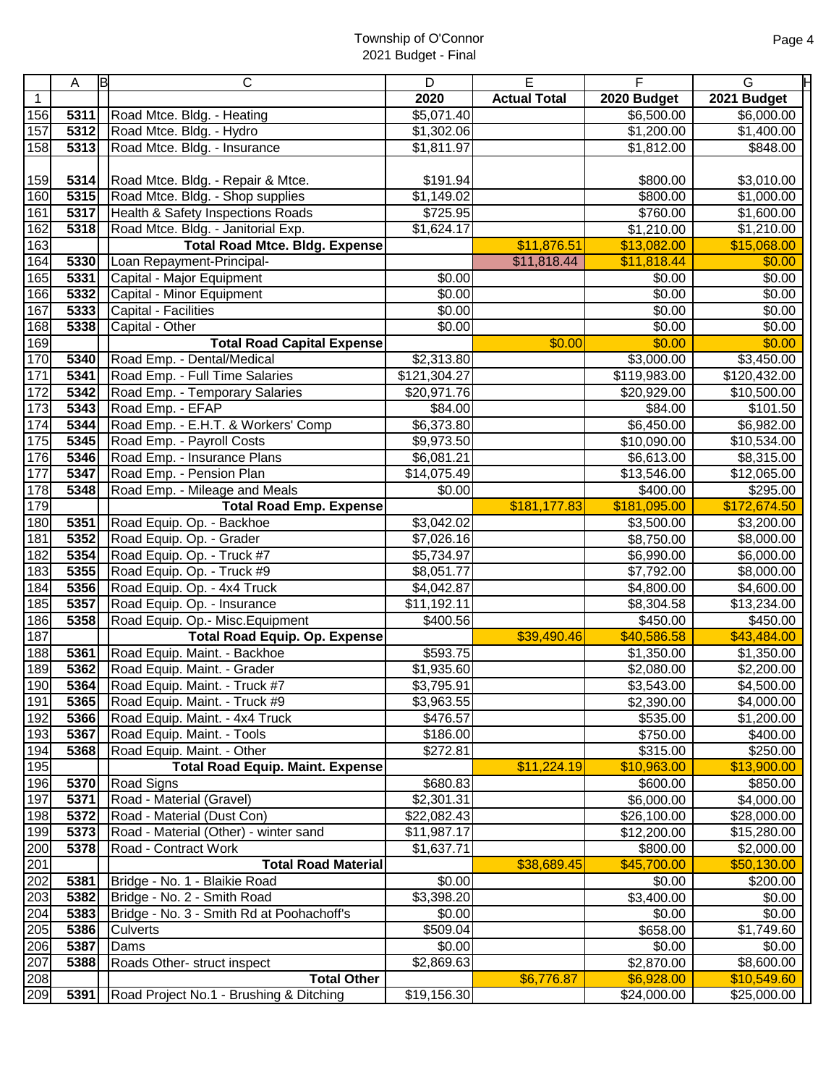|                  | Α                 | С<br>ΙB                                   | D              | E                   | F                     | G            |
|------------------|-------------------|-------------------------------------------|----------------|---------------------|-----------------------|--------------|
| $\mathbf{1}$     |                   |                                           | 2020           | <b>Actual Total</b> | 2020 Budget           | 2021 Budget  |
| 156              | 5311              | Road Mtce. Bldg. - Heating                | \$5,071.40     |                     | \$6,500.00            | \$6,000.00   |
| 157              | $\overline{5312}$ | Road Mtce. Bldg. - Hydro                  | \$1,302.06     |                     | \$1,200.00            | \$1,400.00   |
| 158              | 5313              |                                           |                |                     |                       |              |
|                  |                   | Road Mtce. Bldg. - Insurance              | \$1,811.97     |                     | \$1,812.00            | \$848.00     |
|                  |                   |                                           |                |                     |                       |              |
| 159              | 5314              | Road Mtce. Bldg. - Repair & Mtce.         | \$191.94       |                     | \$800.00              | \$3,010.00   |
| 160              | 5315              | Road Mtce. Bldg. - Shop supplies          | \$1,149.02     |                     | \$800.00              | \$1,000.00   |
| 161              | 5317              | Health & Safety Inspections Roads         | \$725.95       |                     | \$760.00              | \$1,600.00   |
| 162              | 5318              | Road Mtce. Bldg. - Janitorial Exp.        | \$1,624.17     |                     | $\overline{1,210.00}$ | \$1,210.00   |
| 163              |                   | <b>Total Road Mtce. Bldg. Expense</b>     |                | \$11,876.51         | \$13,082.00           | \$15,068.00  |
| 164              | 5330              | Loan Repayment-Principal-                 |                | \$11,818.44         | \$11,818.44           | \$0.00       |
| 165              | 5331              | Capital - Major Equipment                 | $\sqrt{$0.00}$ |                     | \$0.00                | \$0.00       |
| 166              | 5332              | Capital - Minor Equipment                 | \$0.00         |                     | \$0.00                | \$0.00       |
| 167              | 5333              | Capital - Facilities                      | $\sqrt{$0.00}$ |                     | \$0.00                | \$0.00       |
| 168              | 5338              | Capital - Other                           | \$0.00         |                     | \$0.00                | \$0.00       |
| 169              |                   | <b>Total Road Capital Expense</b>         |                | \$0.00              | \$0.00                | \$0.00       |
| 170              | 5340              | Road Emp. - Dental/Medical                | \$2,313.80     |                     |                       | \$3,450.00   |
| $\overline{171}$ | 5341              | Road Emp. - Full Time Salaries            | \$121,304.27   |                     | \$119,983.00          | \$120,432.00 |
| 172              | 5342              | Road Emp. - Temporary Salaries            | \$20,971.76    |                     | \$20,929.00           | \$10,500.00  |
| 173              | 5343              | Road Emp. - EFAP                          | \$84.00        |                     | \$84.00               | \$101.50     |
| 174              | 5344              | Road Emp. - E.H.T. & Workers' Comp        | \$6,373.80     |                     | \$6,450.00            | \$6,982.00   |
| 175              | 5345              | Road Emp. - Payroll Costs                 | \$9,973.50     |                     | \$10,090.00           | \$10,534.00  |
| 176              | 5346              | Road Emp. - Insurance Plans               | \$6,081.21     |                     | \$6,613.00            | \$8,315.00   |
| 177              | 5347              | Road Emp. - Pension Plan                  | \$14,075.49    |                     | \$13,546.00           | \$12,065.00  |
| 178              | 5348              | Road Emp. - Mileage and Meals             | \$0.00         |                     | \$400.00              | \$295.00     |
| 179              |                   | <b>Total Road Emp. Expense</b>            |                | \$181,177.83        | \$181,095.00          | \$172,674.50 |
| 180              | 5351              | Road Equip. Op. - Backhoe                 | \$3,042.02     |                     | \$3,500.00            | \$3,200.00   |
| 181              | 5352              | Road Equip. Op. - Grader                  | \$7,026.16     |                     | \$8,750.00            | \$8,000.00   |
| 182              | 5354              | Road Equip. Op. - Truck #7                | \$5,734.97     |                     | \$6,990.00            | \$6,000.00   |
| 183              | 5355              | Road Equip. Op. - Truck #9                | \$8,051.77     |                     | \$7,792.00            | \$8,000.00   |
| 184              | 5356              | Road Equip. Op. - 4x4 Truck               | \$4,042.87     |                     | \$4,800.00            | \$4,600.00   |
| 185              | 5357              | Road Equip. Op. - Insurance               | \$11,192.11    |                     | \$8,304.58            | \$13,234.00  |
| 186              | 5358              | Road Equip. Op.- Misc. Equipment          | \$400.56       |                     | \$450.00              | \$450.00     |
| 187              |                   | <b>Total Road Equip. Op. Expense</b>      |                | \$39,490.46         | \$40,586.58           | \$43,484.00  |
| 188              | 5361              | Road Equip. Maint. - Backhoe              | \$593.75       |                     | \$1,350.00            | \$1,350.00   |
| 189              | 5362              | Road Equip. Maint. - Grader               | \$1,935.60     |                     | \$2,080.00            | \$2,200.00   |
| 190              |                   | 5364 Road Equip. Maint. - Truck #7        | \$3,795.91     |                     | \$3,543.00            | \$4,500.00   |
| 191              | 5365              | Road Equip. Maint. - Truck #9             | \$3,963.55     |                     | \$2,390.00            | \$4,000.00   |
| 192              | 5366              | Road Equip. Maint. - 4x4 Truck            | \$476.57       |                     | \$535.00              | \$1,200.00   |
| 193              | 5367              | Road Equip. Maint. - Tools                | \$186.00       |                     | \$750.00              | \$400.00     |
| 194              | 5368              | Road Equip. Maint. - Other                | \$272.81       |                     | \$315.00              | \$250.00     |
| 195              |                   | <b>Total Road Equip. Maint. Expense</b>   |                | \$11,224.19         | \$10,963.00           | \$13,900.00  |
| 196              | 5370              | Road Signs                                | \$680.83       |                     | \$600.00              | \$850.00     |
| 197              | 5371              | Road - Material (Gravel)                  | \$2,301.31     |                     | \$6,000.00            | \$4,000.00   |
| 198              | 5372              | Road - Material (Dust Con)                | \$22,082.43    |                     | \$26,100.00           | \$28,000.00  |
| 199              | 5373              | Road - Material (Other) - winter sand     | \$11,987.17    |                     | \$12,200.00           | \$15,280.00  |
| 200              | 5378              | Road - Contract Work                      | \$1,637.71     |                     | \$800.00              | \$2,000.00   |
| 201              |                   | <b>Total Road Material</b>                |                | \$38,689.45         | \$45,700.00           | \$50,130.00  |
| 202              | 5381              | Bridge - No. 1 - Blaikie Road             | \$0.00         |                     | \$0.00                | \$200.00     |
| 203              | 5382              | Bridge - No. 2 - Smith Road               | \$3,398.20     |                     | \$3,400.00            | \$0.00       |
| 204              | 5383              | Bridge - No. 3 - Smith Rd at Poohachoff's | \$0.00         |                     | \$0.00                | \$0.00       |
| 205              | 5386              | <b>Culverts</b>                           | \$509.04       |                     | \$658.00              | \$1,749.60   |
| 206              | 5387              | Dams                                      | \$0.00         |                     | \$0.00                | \$0.00       |
| 207              | 5388              | Roads Other- struct inspect               | \$2,869.63     |                     | \$2,870.00            | \$8,600.00   |
| 208              |                   | <b>Total Other</b>                        |                | \$6,776.87          | \$6,928.00            | \$10,549.60  |
| 209              | 5391              | Road Project No.1 - Brushing & Ditching   | \$19,156.30    |                     | \$24,000.00           | \$25,000.00  |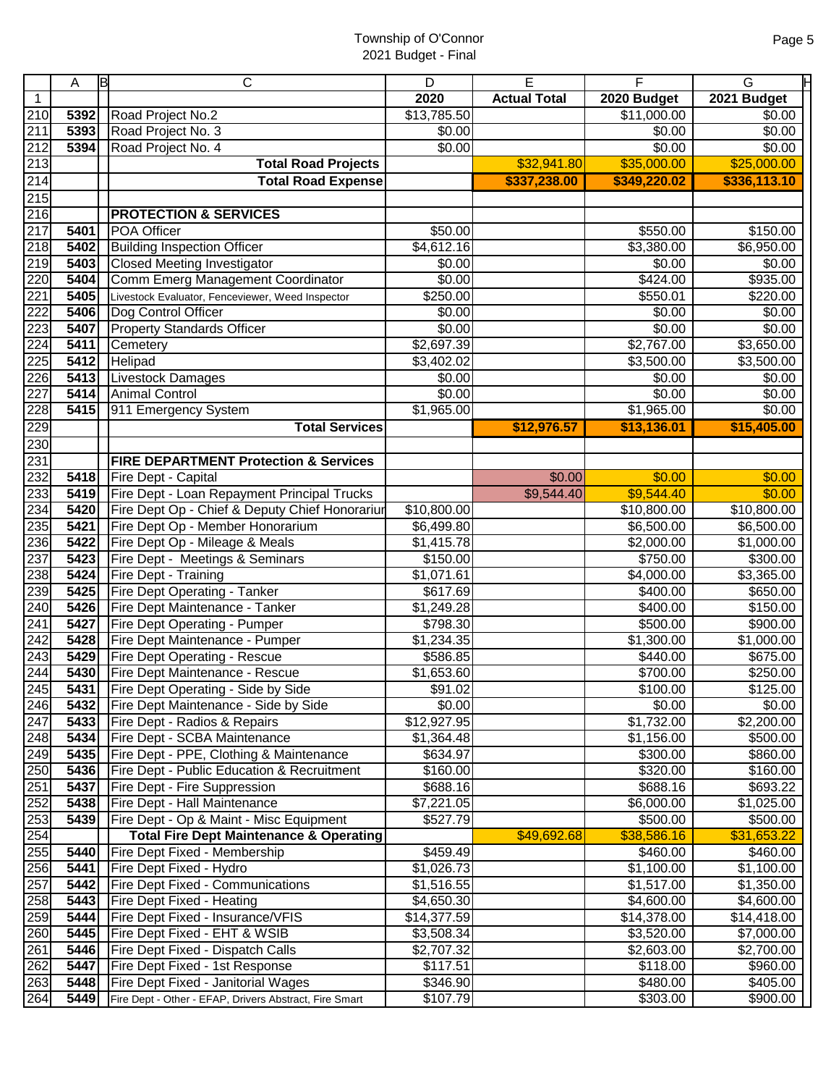|                  | Α            | ΙB<br>$\mathsf{C}$                                          | D                        | $\overline{E}$      | F                        | G                        |
|------------------|--------------|-------------------------------------------------------------|--------------------------|---------------------|--------------------------|--------------------------|
| $\mathbf{1}$     |              |                                                             | 2020                     | <b>Actual Total</b> | 2020 Budget              | 2021 Budget              |
| 210              | 5392         | Road Project No.2                                           | \$13,785.50              |                     | \$11,000.00              | \$0.00                   |
| 211              | 5393         | Road Project No. 3                                          | $\sqrt{$0.00}$           |                     | $\sqrt{$0.00}$           | \$0.00                   |
| 212              | 5394         | Road Project No. 4                                          | \$0.00                   |                     | \$0.00                   | \$0.00                   |
| 213              |              | <b>Total Road Projects</b>                                  |                          | \$32,941.80         | \$35,000.00              | \$25,000.00              |
| 214              |              | <b>Total Road Expense</b>                                   |                          | \$337,238.00        | \$349,220.02             | \$336,113.10             |
|                  |              |                                                             |                          |                     |                          |                          |
| 215<br>216       |              | <b>PROTECTION &amp; SERVICES</b>                            |                          |                     |                          |                          |
| $\overline{217}$ | 5401         | POA Officer                                                 | \$50.00                  |                     | \$550.00                 | \$150.00                 |
| 218              | 5402         | <b>Building Inspection Officer</b>                          | \$4,612.16               |                     | \$3,380.00               | \$6,950.00               |
| 219              | 5403         | <b>Closed Meeting Investigator</b>                          | \$0.00                   |                     | \$0.00                   | \$0.00                   |
| 220              | 5404         | Comm Emerg Management Coordinator                           | \$0.00                   |                     | \$424.00                 | \$935.00                 |
| 221              | 5405         | Livestock Evaluator, Fenceviewer, Weed Inspector            | \$250.00                 |                     | \$550.01                 | \$220.00                 |
| 222              | 5406         | Dog Control Officer                                         | \$0.00                   |                     | \$0.00                   | \$0.00                   |
| 223              | 5407         | <b>Property Standards Officer</b>                           | \$0.00                   |                     | \$0.00                   | \$0.00                   |
| 224              | 5411         | Cemetery                                                    | \$2,697.39               |                     | \$2,767.00               | \$3,650.00               |
| 225              | 5412         | Helipad                                                     | \$3,402.02               |                     | \$3,500.00               | \$3,500.00               |
| 226              | 5413         | <b>Livestock Damages</b>                                    | \$0.00                   |                     | \$0.00                   | \$0.00                   |
| 227              | 5414         | <b>Animal Control</b>                                       | \$0.00                   |                     | \$0.00                   | \$0.00                   |
| 228              | 5415         | 911 Emergency System                                        | \$1,965.00               |                     | \$1,965.00               | \$0.00                   |
| 229              |              | <b>Total Services</b>                                       |                          | \$12,976.57         | \$13,136.01              | \$15,405.00              |
| 230              |              |                                                             |                          |                     |                          |                          |
| 231              |              | <b>FIRE DEPARTMENT Protection &amp; Services</b>            |                          |                     |                          |                          |
| 232              | 5418         | Fire Dept - Capital                                         |                          | \$0.00              | \$0.00                   | \$0.00                   |
| 233              | 5419         | Fire Dept - Loan Repayment Principal Trucks                 |                          | \$9,544.40          | \$9,544.40               | \$0.00                   |
| 234              | 5420         | Fire Dept Op - Chief & Deputy Chief Honorariur              | \$10,800.00              |                     | \$10,800.00              | \$10,800.00              |
| 235              | 5421         | Fire Dept Op - Member Honorarium                            | \$6,499.80               |                     | \$6,500.00               | \$6,500.00               |
| 236              | 5422         | Fire Dept Op - Mileage & Meals                              | \$1,415.78               |                     | \$2,000.00               | \$1,000.00               |
| 237              | 5423         | Fire Dept - Meetings & Seminars                             | \$150.00                 |                     | \$750.00                 | \$300.00                 |
| 238              | 5424         | Fire Dept - Training                                        | \$1,071.61               |                     | \$4,000.00               | \$3,365.00               |
| 239              | 5425         | Fire Dept Operating - Tanker                                | \$617.69                 |                     | \$400.00                 | \$650.00                 |
| 240              | 5426         | Fire Dept Maintenance - Tanker                              | \$1,249.28               |                     | \$400.00                 | \$150.00                 |
| 241              | 5427         | Fire Dept Operating - Pumper                                | \$798.30                 |                     | \$500.00                 | \$900.00                 |
| 242              | 5428         | Fire Dept Maintenance - Pumper                              | \$1,234.35               |                     | \$1,300.00               | $\overline{$1,000.00}$   |
| 243              | 5429         | Fire Dept Operating - Rescue                                | \$586.85                 |                     | \$440.00                 | \$675.00                 |
| 244              | 5430         | Fire Dept Maintenance - Rescue                              | \$1,653.60               |                     | \$700.00                 | \$250.00                 |
| 245              | 5431         | Fire Dept Operating - Side by Side                          | \$91.02                  |                     | \$100.00                 | \$125.00                 |
| 246              | 5432         | Fire Dept Maintenance - Side by Side                        | \$0.00                   |                     | \$0.00                   | \$0.00                   |
| 247              | 5433         | Fire Dept - Radios & Repairs                                | \$12,927.95              |                     | \$1,732.00               | \$2,200.00               |
| 248              | 5434         | Fire Dept - SCBA Maintenance                                | \$1,364.48               |                     | \$1,156.00               | \$500.00                 |
| 249              | 5435         | Fire Dept - PPE, Clothing & Maintenance                     | \$634.97                 |                     | \$300.00                 | \$860.00                 |
| 250              | 5436         | Fire Dept - Public Education & Recruitment                  | \$160.00                 |                     | \$320.00                 | \$160.00                 |
| 251              | 5437         | Fire Dept - Fire Suppression                                | \$688.16                 |                     | \$688.16                 | \$693.22                 |
| 252              | 5438         | Fire Dept - Hall Maintenance                                | \$7,221.05               |                     | \$6,000.00               | \$1,025.00               |
| 253              | 5439         | Fire Dept - Op & Maint - Misc Equipment                     | \$527.79                 |                     | \$500.00                 | \$500.00                 |
| 254              |              | <b>Total Fire Dept Maintenance &amp; Operating</b>          |                          | \$49,692.68         | \$38,586.16              | \$31,653.22              |
| 255              | 5440         | Fire Dept Fixed - Membership                                | \$459.49                 |                     | \$460.00                 | \$460.00                 |
| 256<br>257       | 5441<br>5442 | Fire Dept Fixed - Hydro<br>Fire Dept Fixed - Communications | \$1,026.73               |                     | \$1,100.00               | \$1,100.00               |
| 258              | 5443         | Fire Dept Fixed - Heating                                   | \$1,516.55<br>\$4,650.30 |                     | \$1,517.00<br>\$4,600.00 | \$1,350.00<br>\$4,600.00 |
| 259              | 5444         | Fire Dept Fixed - Insurance/VFIS                            | \$14,377.59              |                     | \$14,378.00              | \$14,418.00              |
| 260              | 5445         | Fire Dept Fixed - EHT & WSIB                                | \$3,508.34               |                     | \$3,520.00               | \$7,000.00               |
| 261              | 5446         | Fire Dept Fixed - Dispatch Calls                            | \$2,707.32               |                     | \$2,603.00               | \$2,700.00               |
| 262              | 5447         | Fire Dept Fixed - 1st Response                              | \$117.51                 |                     | \$118.00                 | \$960.00                 |
| 263              | 5448         | Fire Dept Fixed - Janitorial Wages                          | \$346.90                 |                     | \$480.00                 | \$405.00                 |
| 264              | 5449         | Fire Dept - Other - EFAP, Drivers Abstract, Fire Smart      | \$107.79                 |                     | \$303.00                 | $\sqrt{$}900.00$         |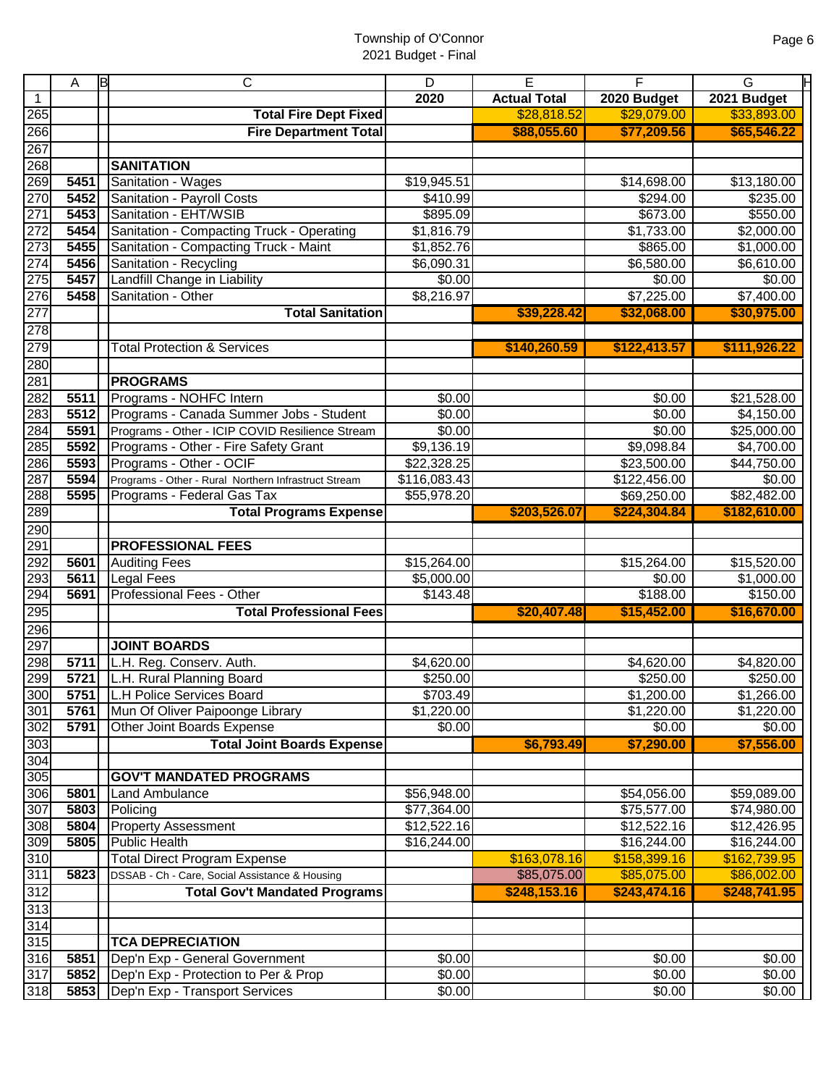|              | A    | ΙB | C                                                    | D            | E                   | F                      | Н<br>G             |
|--------------|------|----|------------------------------------------------------|--------------|---------------------|------------------------|--------------------|
| $\mathbf{1}$ |      |    |                                                      | 2020         | <b>Actual Total</b> | 2020 Budget            | 2021 Budget        |
| 265          |      |    | <b>Total Fire Dept Fixed</b>                         |              | \$28,818.52         | \$29,079.00            | \$33,893.00        |
| 266          |      |    | <b>Fire Department Total</b>                         |              | \$88,055.60         | \$77,209.56            | \$65,546.22        |
| 267          |      |    |                                                      |              |                     |                        |                    |
| 268          |      |    | <b>SANITATION</b>                                    |              |                     |                        |                    |
| 269          | 5451 |    | Sanitation - Wages                                   | \$19,945.51  |                     | \$14,698.00            | \$13,180.00        |
| 270          | 5452 |    | Sanitation - Payroll Costs                           | \$410.99     |                     | \$294.00               | \$235.00           |
| 271          | 5453 |    | Sanitation - EHT/WSIB                                | \$895.09     |                     | \$673.00               | \$550.00           |
| 272          | 5454 |    | Sanitation - Compacting Truck - Operating            | \$1,816.79   |                     | $\overline{$1,733.00}$ | $\sqrt{$2,000.00}$ |
| 273          | 5455 |    | Sanitation - Compacting Truck - Maint                | \$1,852.76   |                     | \$865.00               | \$1,000.00         |
| 274          | 5456 |    | Sanitation - Recycling                               | \$6,090.31   |                     | \$6,580.00             | \$6,610.00         |
| 275          | 5457 |    | Landfill Change in Liability                         | \$0.00       |                     | \$0.00                 | \$0.00             |
| 276          | 5458 |    | Sanitation - Other                                   | \$8,216.97   |                     | \$7,225.00             | \$7,400.00         |
| 277          |      |    | <b>Total Sanitation</b>                              |              | \$39,228.42         | \$32,068.00            | \$30,975.00        |
| 278          |      |    |                                                      |              |                     |                        |                    |
| 279          |      |    | <b>Total Protection &amp; Services</b>               |              | \$140,260.59        | \$122,413.57           | \$111,926.22       |
| 280          |      |    |                                                      |              |                     |                        |                    |
| 281          |      |    | <b>PROGRAMS</b>                                      |              |                     |                        |                    |
| 282          | 5511 |    | Programs - NOHFC Intern                              | \$0.00       |                     | \$0.00                 | \$21,528.00        |
| 283          | 5512 |    | Programs - Canada Summer Jobs - Student              | \$0.00       |                     | $\overline{$}0.00$     | \$4,150.00         |
| 284          | 5591 |    | Programs - Other - ICIP COVID Resilience Stream      | \$0.00       |                     | \$0.00                 | \$25,000.00        |
| 285          | 5592 |    | Programs - Other - Fire Safety Grant                 | \$9,136.19   |                     | \$9,098.84             | \$4,700.00         |
| 286          | 5593 |    | Programs - Other - OCIF                              | \$22,328.25  |                     | \$23,500.00            | \$44,750.00        |
| 287          | 5594 |    | Programs - Other - Rural Northern Infrastruct Stream | \$116,083.43 |                     | \$122,456.00           | \$0.00             |
| 288          | 5595 |    | Programs - Federal Gas Tax                           | \$55,978.20  |                     | \$69,250.00            | \$82,482.00        |
| 289          |      |    | <b>Total Programs Expense</b>                        |              | \$203,526.07        | \$224,304.84           | \$182,610.00       |
| 290          |      |    |                                                      |              |                     |                        |                    |
| 291          |      |    | <b>PROFESSIONAL FEES</b>                             |              |                     |                        |                    |
| 292          | 5601 |    | <b>Auditing Fees</b>                                 | \$15,264.00  |                     | \$15,264.00            | \$15,520.00        |
| 293          | 5611 |    | <b>Legal Fees</b>                                    | \$5,000.00   |                     | \$0.00                 | \$1,000.00         |
| 294          | 5691 |    | Professional Fees - Other                            | \$143.48     |                     | \$188.00               | \$150.00           |
| 295          |      |    | <b>Total Professional Fees</b>                       |              | \$20,407.48         | \$15,452.00            | \$16,670.00        |
| 296          |      |    |                                                      |              |                     |                        |                    |
| 297          |      |    | <b>JOINT BOARDS</b>                                  |              |                     |                        |                    |
| 298          | 5711 |    | L.H. Reg. Conserv. Auth.                             | \$4,620.00   |                     | \$4,620.00             | \$4,820.00         |
| 299          | 5721 |    | L.H. Rural Planning Board                            | \$250.00     |                     | \$250.00               | \$250.00           |
| 300          | 5751 |    | <b>L.H Police Services Board</b>                     | \$703.49     |                     | \$1,200.00             | \$1,266.00         |
| 301          | 5761 |    | Mun Of Oliver Paipoonge Library                      | \$1,220.00   |                     | \$1,220.00             | \$1,220.00         |
| 302          | 5791 |    | Other Joint Boards Expense                           | \$0.00       |                     | \$0.00                 | \$0.00             |
| 303          |      |    | <b>Total Joint Boards Expense</b>                    |              | \$6,793.49          | \$7,290.00             | \$7,556.00         |
| 304          |      |    |                                                      |              |                     |                        |                    |
| 305          |      |    | <b>GOV'T MANDATED PROGRAMS</b>                       |              |                     |                        |                    |
| 306          | 5801 |    | Land Ambulance                                       | \$56,948.00  |                     | \$54,056.00            | \$59,089.00        |
| 307          | 5803 |    | Policing                                             | \$77,364.00  |                     | \$75,577.00            | \$74,980.00        |
| 308          | 5804 |    | <b>Property Assessment</b>                           | \$12,522.16  |                     | \$12,522.16            | \$12,426.95        |
| 309          | 5805 |    | <b>Public Health</b>                                 | \$16,244.00  |                     | \$16,244.00            | \$16,244.00        |
| 310          |      |    | <b>Total Direct Program Expense</b>                  |              | \$163,078.16        | \$158,399.16           | \$162,739.95       |
| 311          | 5823 |    | DSSAB - Ch - Care, Social Assistance & Housing       |              | \$85,075.00         | \$85,075.00            | \$86,002.00        |
| 312          |      |    | <b>Total Gov't Mandated Programs</b>                 |              | \$248,153.16        | \$243,474.16           | \$248,741.95       |
| $313$        |      |    |                                                      |              |                     |                        |                    |
| 314          |      |    |                                                      |              |                     |                        |                    |
| 315          |      |    | <b>TCA DEPRECIATION</b>                              |              |                     |                        |                    |
| 316          | 5851 |    | Dep'n Exp - General Government                       | \$0.00       |                     | \$0.00                 | \$0.00             |
| 317          | 5852 |    | Dep'n Exp - Protection to Per & Prop                 | \$0.00       |                     | \$0.00                 | \$0.00             |
| 318          | 5853 |    | Dep'n Exp - Transport Services                       | \$0.00       |                     | \$0.00                 | \$0.00             |